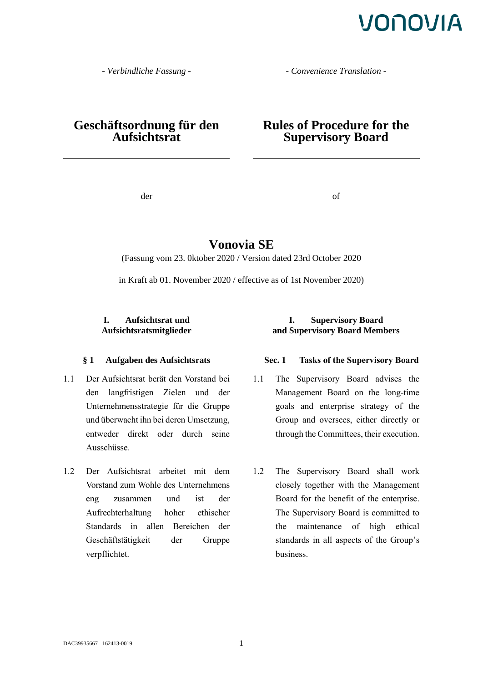*- Verbindliche Fassung - - Convenience Translation -*

### **Geschäftsordnung für den Aufsichtsrat**

### **Rules of Procedure for the Supervisory Board**

der of

### **Vonovia SE**

(Fassung vom 23. 0ktober 2020 / Version dated 23rd October 2020

in Kraft ab 01. November 2020 / effective as of 1st November 2020)

### **I. Aufsichtsrat und Aufsichtsratsmitglieder**

- 1.1 Der Aufsichtsrat berät den Vorstand bei den langfristigen Zielen und der Unternehmensstrategie für die Gruppe und überwacht ihn bei deren Umsetzung, entweder direkt oder durch seine Ausschüsse.
- 1.2 Der Aufsichtsrat arbeitet mit dem Vorstand zum Wohle des Unternehmens eng zusammen und ist der Aufrechterhaltung hoher ethischer Standards in allen Bereichen der Geschäftstätigkeit der Gruppe verpflichtet.

### **I. Supervisory Board and Supervisory Board Members**

#### **§ 1 Aufgaben des Aufsichtsrats Sec. 1 Tasks of the Supervisory Board**

- 1.1 The Supervisory Board advises the Management Board on the long-time goals and enterprise strategy of the Group and oversees, either directly or through the Committees, their execution.
- 1.2 The Supervisory Board shall work closely together with the Management Board for the benefit of the enterprise. The Supervisory Board is committed to the maintenance of high ethical standards in all aspects of the Group's business.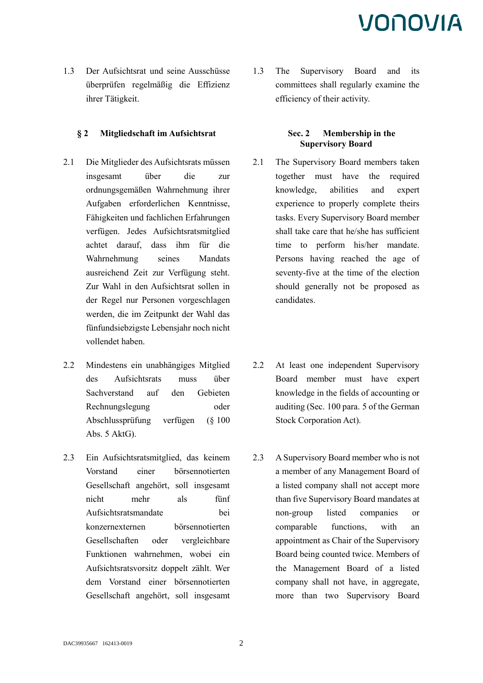1.3 Der Aufsichtsrat und seine Ausschüsse überprüfen regelmäßig die Effizienz ihrer Tätigkeit.

### **§ 2 Mitgliedschaft im Aufsichtsrat Sec. 2 Membership in the**

- 2.1 Die Mitglieder des Aufsichtsrats müssen insgesamt über die zur ordnungsgemäßen Wahrnehmung ihrer Aufgaben erforderlichen Kenntnisse, Fähigkeiten und fachlichen Erfahrungen verfügen. Jedes Aufsichtsratsmitglied achtet darauf, dass ihm für die Wahrnehmung seines Mandats ausreichend Zeit zur Verfügung steht. Zur Wahl in den Aufsichtsrat sollen in der Regel nur Personen vorgeschlagen werden, die im Zeitpunkt der Wahl das fünfundsiebzigste Lebensjahr noch nicht vollendet haben.
- 2.2 Mindestens ein unabhängiges Mitglied des Aufsichtsrats muss über Sachverstand auf den Gebieten Rechnungslegung oder Abschlussprüfung verfügen (§ 100 Abs. 5 AktG).
- 2.3 Ein Aufsichtsratsmitglied, das keinem Vorstand einer börsennotierten Gesellschaft angehört, soll insgesamt nicht mehr als fünf Aufsichtsratsmandate bei konzernexternen börsennotierten Gesellschaften oder vergleichbare Funktionen wahrnehmen, wobei ein Aufsichtsratsvorsitz doppelt zählt. Wer dem Vorstand einer börsennotierten Gesellschaft angehört, soll insgesamt

1.3 The Supervisory Board and its committees shall regularly examine the efficiency of their activity.

### **Supervisory Board**

- 2.1 The Supervisory Board members taken together must have the required knowledge, abilities and expert experience to properly complete theirs tasks. Every Supervisory Board member shall take care that he/she has sufficient time to perform his/her mandate. Persons having reached the age of seventy-five at the time of the election should generally not be proposed as candidates.
- 2.2 At least one independent Supervisory Board member must have expert knowledge in the fields of accounting or auditing (Sec. 100 para. 5 of the German Stock Corporation Act).
- 2.3 A Supervisory Board member who is not a member of any Management Board of a listed company shall not accept more than five Supervisory Board mandates at non-group listed companies or comparable functions, with an appointment as Chair of the Supervisory Board being counted twice. Members of the Management Board of a listed company shall not have, in aggregate, more than two Supervisory Board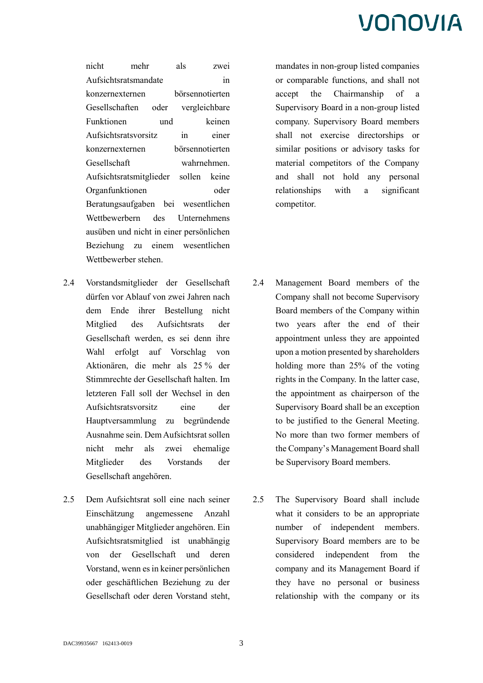nicht mehr als zwei Aufsichtsratsmandate in konzernexternen börsennotierten Gesellschaften oder vergleichbare Funktionen und keinen Aufsichtsratsvorsitz in einer konzernexternen börsennotierten Gesellschaft wahrnehmen. Aufsichtsratsmitglieder sollen keine Organfunktionen oder Beratungsaufgaben bei wesentlichen Wettbewerbern des Unternehmens ausüben und nicht in einer persönlichen Beziehung zu einem wesentlichen Wettbewerber stehen.

- 2.4 Vorstandsmitglieder der Gesellschaft dürfen vor Ablauf von zwei Jahren nach dem Ende ihrer Bestellung nicht Mitglied des Aufsichtsrats der Gesellschaft werden, es sei denn ihre Wahl erfolgt auf Vorschlag von Aktionären, die mehr als 25 % der Stimmrechte der Gesellschaft halten. Im letzteren Fall soll der Wechsel in den Aufsichtsratsvorsitz eine der Hauptversammlung zu begründende Ausnahme sein. Dem Aufsichtsrat sollen nicht mehr als zwei ehemalige Mitglieder des Vorstands der Gesellschaft angehören.
- 2.5 Dem Aufsichtsrat soll eine nach seiner Einschätzung angemessene Anzahl unabhängiger Mitglieder angehören. Ein Aufsichtsratsmitglied ist unabhängig von der Gesellschaft und deren Vorstand, wenn es in keiner persönlichen oder geschäftlichen Beziehung zu der Gesellschaft oder deren Vorstand steht,

mandates in non-group listed companies or comparable functions, and shall not accept the Chairmanship of a Supervisory Board in a non-group listed company. Supervisory Board members shall not exercise directorships or similar positions or advisory tasks for material competitors of the Company and shall not hold any personal relationships with a significant competitor.

- 2.4 Management Board members of the Company shall not become Supervisory Board members of the Company within two years after the end of their appointment unless they are appointed upon a motion presented by shareholders holding more than 25% of the voting rights in the Company. In the latter case, the appointment as chairperson of the Supervisory Board shall be an exception to be justified to the General Meeting. No more than two former members of the Company's Management Board shall be Supervisory Board members.
- 2.5 The Supervisory Board shall include what it considers to be an appropriate number of independent members. Supervisory Board members are to be considered independent from the company and its Management Board if they have no personal or business relationship with the company or its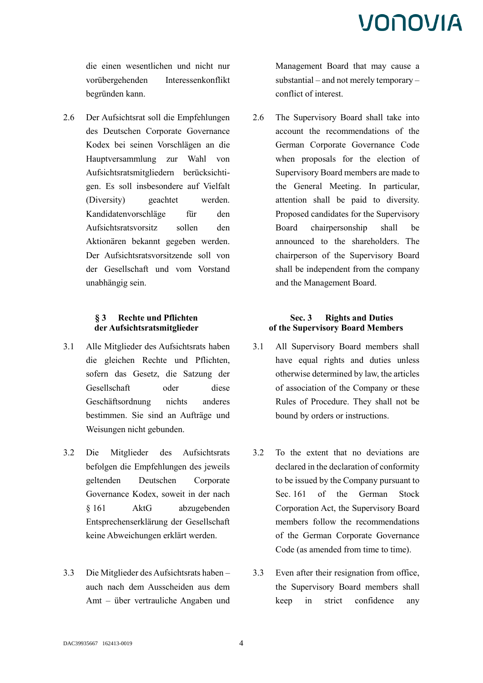die einen wesentlichen und nicht nur vorübergehenden Interessenkonflikt begründen kann.

2.6 Der Aufsichtsrat soll die Empfehlungen des Deutschen Corporate Governance Kodex bei seinen Vorschlägen an die Hauptversammlung zur Wahl von Aufsichtsratsmitgliedern berücksichtigen. Es soll insbesondere auf Vielfalt (Diversity) geachtet werden. Kandidatenvorschläge für den Aufsichtsratsvorsitz sollen den Aktionären bekannt gegeben werden. Der Aufsichtsratsvorsitzende soll von der Gesellschaft und vom Vorstand unabhängig sein.

### **§ 3 Rechte und Pflichten der Aufsichtsratsmitglieder**

- 3.1 Alle Mitglieder des Aufsichtsrats haben die gleichen Rechte und Pflichten, sofern das Gesetz, die Satzung der Gesellschaft oder diese Geschäftsordnung nichts anderes bestimmen. Sie sind an Aufträge und Weisungen nicht gebunden.
- 3.2 Die Mitglieder des Aufsichtsrats befolgen die Empfehlungen des jeweils geltenden Deutschen Corporate Governance Kodex, soweit in der nach § 161 AktG abzugebenden Entsprechenserklärung der Gesellschaft keine Abweichungen erklärt werden.
- 3.3 Die Mitglieder des Aufsichtsrats haben auch nach dem Ausscheiden aus dem Amt – über vertrauliche Angaben und

Management Board that may cause a substantial – and not merely temporary – conflict of interest.

2.6 The Supervisory Board shall take into account the recommendations of the German Corporate Governance Code when proposals for the election of Supervisory Board members are made to the General Meeting. In particular, attention shall be paid to diversity. Proposed candidates for the Supervisory Board chairpersonship shall be announced to the shareholders. The chairperson of the Supervisory Board shall be independent from the company and the Management Board.

### **Sec. 3 Rights and Duties of the Supervisory Board Members**

- 3.1 All Supervisory Board members shall have equal rights and duties unless otherwise determined by law, the articles of association of the Company or these Rules of Procedure. They shall not be bound by orders or instructions.
- 3.2 To the extent that no deviations are declared in the declaration of conformity to be issued by the Company pursuant to Sec. 161 of the German Stock Corporation Act, the Supervisory Board members follow the recommendations of the German Corporate Governance Code (as amended from time to time).
- 3.3 Even after their resignation from office, the Supervisory Board members shall keep in strict confidence any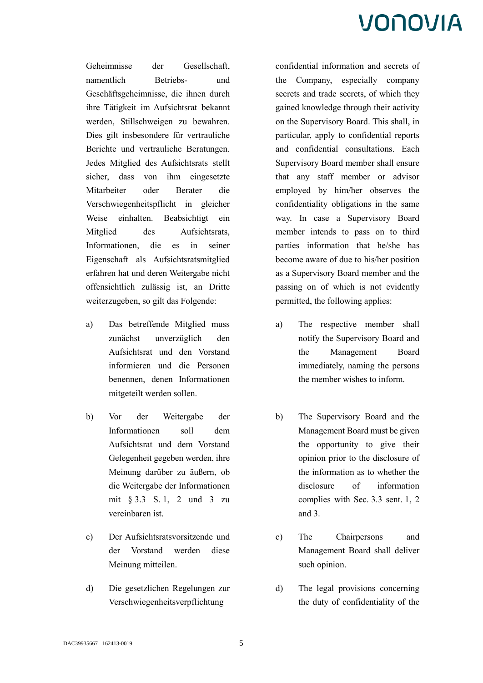Geheimnisse der Gesellschaft, namentlich Betriebs- und Geschäftsgeheimnisse, die ihnen durch ihre Tätigkeit im Aufsichtsrat bekannt werden, Stillschweigen zu bewahren. Dies gilt insbesondere für vertrauliche Berichte und vertrauliche Beratungen. Jedes Mitglied des Aufsichtsrats stellt sicher, dass von ihm eingesetzte Mitarbeiter oder Berater die Verschwiegenheitspflicht in gleicher Weise einhalten. Beabsichtigt ein Mitglied des Aufsichtsrats, Informationen, die es in seiner Eigenschaft als Aufsichtsratsmitglied erfahren hat und deren Weitergabe nicht offensichtlich zulässig ist, an Dritte weiterzugeben, so gilt das Folgende:

- a) Das betreffende Mitglied muss zunächst unverzüglich den Aufsichtsrat und den Vorstand informieren und die Personen benennen, denen Informationen mitgeteilt werden sollen.
- b) Vor der Weitergabe der Informationen soll dem Aufsichtsrat und dem Vorstand Gelegenheit gegeben werden, ihre Meinung darüber zu äußern, ob die Weitergabe der Informationen mit § 3.3 S. 1, 2 und 3 zu vereinbaren ist.
- c) Der Aufsichtsratsvorsitzende und der Vorstand werden diese Meinung mitteilen.
- d) Die gesetzlichen Regelungen zur Verschwiegenheitsverpflichtung

confidential information and secrets of the Company, especially company secrets and trade secrets, of which they gained knowledge through their activity on the Supervisory Board. This shall, in particular, apply to confidential reports and confidential consultations. Each Supervisory Board member shall ensure that any staff member or advisor employed by him/her observes the confidentiality obligations in the same way. In case a Supervisory Board member intends to pass on to third parties information that he/she has become aware of due to his/her position as a Supervisory Board member and the passing on of which is not evidently permitted, the following applies:

- a) The respective member shall notify the Supervisory Board and the Management Board immediately, naming the persons the member wishes to inform.
- b) The Supervisory Board and the Management Board must be given the opportunity to give their opinion prior to the disclosure of the information as to whether the disclosure of information complies with Sec. 3.3 sent. 1, 2 and 3.
- c) The Chairpersons and Management Board shall deliver such opinion.
- d) The legal provisions concerning the duty of confidentiality of the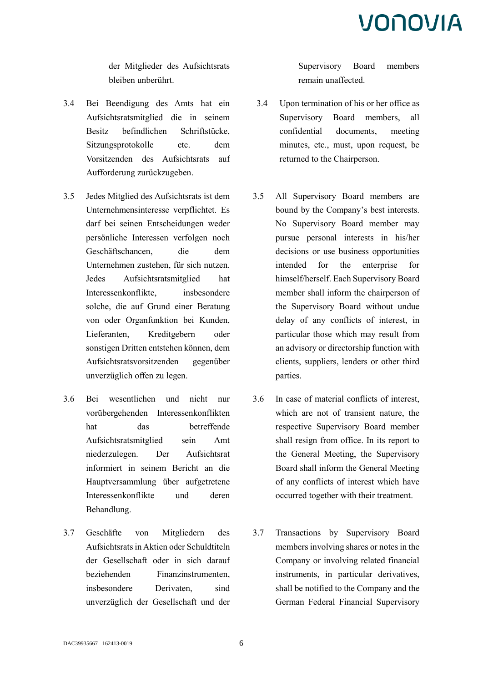der Mitglieder des Aufsichtsrats bleiben unberührt.

- 3.4 Bei Beendigung des Amts hat ein Aufsichtsratsmitglied die in seinem Besitz befindlichen Schriftstücke, Sitzungsprotokolle etc. dem Vorsitzenden des Aufsichtsrats auf Aufforderung zurückzugeben.
- 3.5 Jedes Mitglied des Aufsichtsrats ist dem Unternehmensinteresse verpflichtet. Es darf bei seinen Entscheidungen weder persönliche Interessen verfolgen noch Geschäftschancen, die dem Unternehmen zustehen, für sich nutzen. Jedes Aufsichtsratsmitglied hat Interessenkonflikte, insbesondere solche, die auf Grund einer Beratung von oder Organfunktion bei Kunden, Lieferanten, Kreditgebern oder sonstigen Dritten entstehen können, dem Aufsichtsratsvorsitzenden gegenüber unverzüglich offen zu legen.
- 3.6 Bei wesentlichen und nicht nur vorübergehenden Interessenkonflikten hat das betreffende Aufsichtsratsmitglied sein Amt niederzulegen. Der Aufsichtsrat informiert in seinem Bericht an die Hauptversammlung über aufgetretene Interessenkonflikte und deren Behandlung.
- 3.7 Geschäfte von Mitgliedern des Aufsichtsrats in Aktien oder Schuldtiteln der Gesellschaft oder in sich darauf beziehenden Finanzinstrumenten, insbesondere Derivaten, sind unverzüglich der Gesellschaft und der

Supervisory Board members remain unaffected.

- 3.4 Upon termination of his or her office as Supervisory Board members, all confidential documents, meeting minutes, etc., must, upon request, be returned to the Chairperson.
- 3.5 All Supervisory Board members are bound by the Company's best interests. No Supervisory Board member may pursue personal interests in his/her decisions or use business opportunities intended for the enterprise for himself/herself. Each Supervisory Board member shall inform the chairperson of the Supervisory Board without undue delay of any conflicts of interest, in particular those which may result from an advisory or directorship function with clients, suppliers, lenders or other third parties.
- 3.6 In case of material conflicts of interest, which are not of transient nature, the respective Supervisory Board member shall resign from office. In its report to the General Meeting, the Supervisory Board shall inform the General Meeting of any conflicts of interest which have occurred together with their treatment.
- 3.7 Transactions by Supervisory Board members involving shares or notes in the Company or involving related financial instruments, in particular derivatives, shall be notified to the Company and the German Federal Financial Supervisory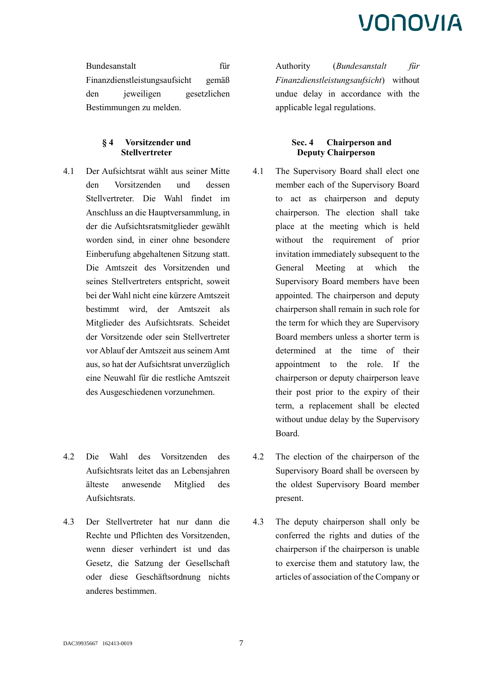Bundesanstalt für Finanzdienstleistungsaufsicht gemäß den jeweiligen gesetzlichen Bestimmungen zu melden.

> **§ 4 Vorsitzender und Stellvertreter**

- 4.1 Der Aufsichtsrat wählt aus seiner Mitte den Vorsitzenden und dessen Stellvertreter. Die Wahl findet im Anschluss an die Hauptversammlung, in der die Aufsichtsratsmitglieder gewählt worden sind, in einer ohne besondere Einberufung abgehaltenen Sitzung statt. Die Amtszeit des Vorsitzenden und seines Stellvertreters entspricht, soweit bei der Wahl nicht eine kürzere Amtszeit bestimmt wird, der Amtszeit als Mitglieder des Aufsichtsrats. Scheidet der Vorsitzende oder sein Stellvertreter vor Ablauf der Amtszeit aus seinem Amt aus, so hat der Aufsichtsrat unverzüglich eine Neuwahl für die restliche Amtszeit des Ausgeschiedenen vorzunehmen.
- 4.2 Die Wahl des Vorsitzenden des Aufsichtsrats leitet das an Lebensjahren älteste anwesende Mitglied des Aufsichtsrats.
- 4.3 Der Stellvertreter hat nur dann die Rechte und Pflichten des Vorsitzenden, wenn dieser verhindert ist und das Gesetz, die Satzung der Gesellschaft oder diese Geschäftsordnung nichts anderes bestimmen.

Authority (*Bundesanstalt für Finanzdienstleistungsaufsicht*) without undue delay in accordance with the applicable legal regulations.

### **Sec. 4 Chairperson and Deputy Chairperson**

- 4.1 The Supervisory Board shall elect one member each of the Supervisory Board to act as chairperson and deputy chairperson. The election shall take place at the meeting which is held without the requirement of prior invitation immediately subsequent to the General Meeting at which the Supervisory Board members have been appointed. The chairperson and deputy chairperson shall remain in such role for the term for which they are Supervisory Board members unless a shorter term is determined at the time of their appointment to the role. If the chairperson or deputy chairperson leave their post prior to the expiry of their term, a replacement shall be elected without undue delay by the Supervisory Board.
- 4.2 The election of the chairperson of the Supervisory Board shall be overseen by the oldest Supervisory Board member present.
- 4.3 The deputy chairperson shall only be conferred the rights and duties of the chairperson if the chairperson is unable to exercise them and statutory law, the articles of association of the Company or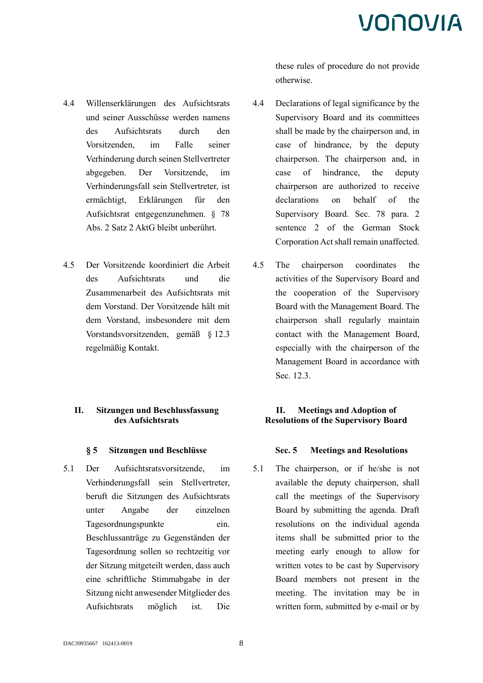- 4.4 Willenserklärungen des Aufsichtsrats und seiner Ausschüsse werden namens des Aufsichtsrats durch den Vorsitzenden, im Falle seiner Verhinderung durch seinen Stellvertreter abgegeben. Der Vorsitzende, im Verhinderungsfall sein Stellvertreter, ist ermächtigt, Erklärungen für den Aufsichtsrat entgegenzunehmen. § 78 Abs. 2 Satz 2 AktG bleibt unberührt.
- 4.5 Der Vorsitzende koordiniert die Arbeit des Aufsichtsrats und die Zusammenarbeit des Aufsichtsrats mit dem Vorstand. Der Vorsitzende hält mit dem Vorstand, insbesondere mit dem Vorstandsvorsitzenden, gemäß § 12.3 regelmäßig Kontakt.

### **II. Sitzungen und Beschlussfassung des Aufsichtsrats**

5.1 Der Aufsichtsratsvorsitzende, im Verhinderungsfall sein Stellvertreter, beruft die Sitzungen des Aufsichtsrats unter Angabe der einzelnen Tagesordnungspunkte ein. Beschlussanträge zu Gegenständen der Tagesordnung sollen so rechtzeitig vor der Sitzung mitgeteilt werden, dass auch eine schriftliche Stimmabgabe in der Sitzung nicht anwesender Mitglieder des Aufsichtsrats möglich ist. Die these rules of procedure do not provide otherwise.

- 4.4 Declarations of legal significance by the Supervisory Board and its committees shall be made by the chairperson and, in case of hindrance, by the deputy chairperson. The chairperson and, in case of hindrance, the deputy chairperson are authorized to receive declarations on behalf of the Supervisory Board. Sec. 78 para. 2 sentence 2 of the German Stock Corporation Act shall remain unaffected.
- 4.5 The chairperson coordinates the activities of the Supervisory Board and the cooperation of the Supervisory Board with the Management Board. The chairperson shall regularly maintain contact with the Management Board, especially with the chairperson of the Management Board in accordance with Sec. 12.3.

### **II. Meetings and Adoption of Resolutions of the Supervisory Board**

### **§ 5 Sitzungen und Beschlüsse Sec. 5 Meetings and Resolutions**

5.1 The chairperson, or if he/she is not available the deputy chairperson, shall call the meetings of the Supervisory Board by submitting the agenda. Draft resolutions on the individual agenda items shall be submitted prior to the meeting early enough to allow for written votes to be cast by Supervisory Board members not present in the meeting. The invitation may be in written form, submitted by e-mail or by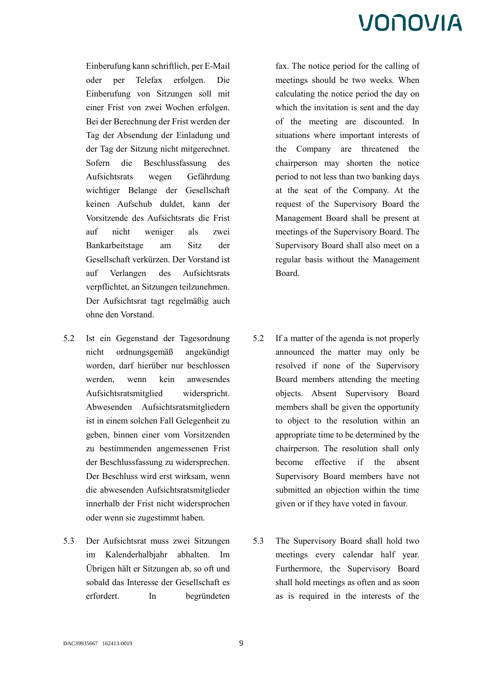Einberufung kann schriftlich, per E-Mail oder per Telefax erfolgen. Die Einberufung von Sitzungen soll mit einer Frist von zwei Wochen erfolgen. Bei der Berechnung der Frist werden der Tag der Absendung der Einladung und der Tag der Sitzung nicht mitgerechnet. Sofern die Beschlussfassung des Aufsichtsrats wegen Gefährdung wichtiger Belange der Gesellschaft keinen Aufschub duldet, kann der Vorsitzende des Aufsichtsrats die Frist auf nicht weniger als zwei Bankarbeitstage am Sitz der Gesellschaft verkürzen. Der Vorstand ist auf Verlangen des Aufsichtsrats verpflichtet, an Sitzungen teilzunehmen. Der Aufsichtsrat tagt regelmäßig auch ohne den Vorstand.

- 5.2 Ist ein Gegenstand der Tagesordnung nicht ordnungsgemäß angekündigt worden, darf hierüber nur beschlossen werden, wenn kein anwesendes Aufsichtsratsmitglied widerspricht. Abwesenden Aufsichtsratsmitgliedern ist in einem solchen Fall Gelegenheit zu geben, binnen einer vom Vorsitzenden zu bestimmenden angemessenen Frist der Beschlussfassung zu widersprechen. Der Beschluss wird erst wirksam, wenn die abwesenden Aufsichtsratsmitglieder innerhalb der Frist nicht widersprochen oder wenn sie zugestimmt haben.
- 5.3 Der Aufsichtsrat muss zwei Sitzungen im Kalenderhalbjahr abhalten. Im Übrigen hält er Sitzungen ab, so oft und sobald das Interesse der Gesellschaft es erfordert. In begründeten

fax. The notice period for the calling of meetings should be two weeks. When calculating the notice period the day on which the invitation is sent and the day of the meeting are discounted. In situations where important interests of the Company are threatened the chairperson may shorten the notice period to not less than two banking days at the seat of the Company. At the request of the Supervisory Board the Management Board shall be present at meetings of the Supervisory Board. The Supervisory Board shall also meet on a regular basis without the Management Board.

- 5.2 If a matter of the agenda is not properly announced the matter may only be resolved if none of the Supervisory Board members attending the meeting objects. Absent Supervisory Board members shall be given the opportunity to object to the resolution within an appropriate time to be determined by the chairperson. The resolution shall only become effective if the absent Supervisory Board members have not submitted an objection within the time given or if they have voted in favour.
- 5.3 The Supervisory Board shall hold two meetings every calendar half year. Furthermore, the Supervisory Board shall hold meetings as often and as soon as is required in the interests of the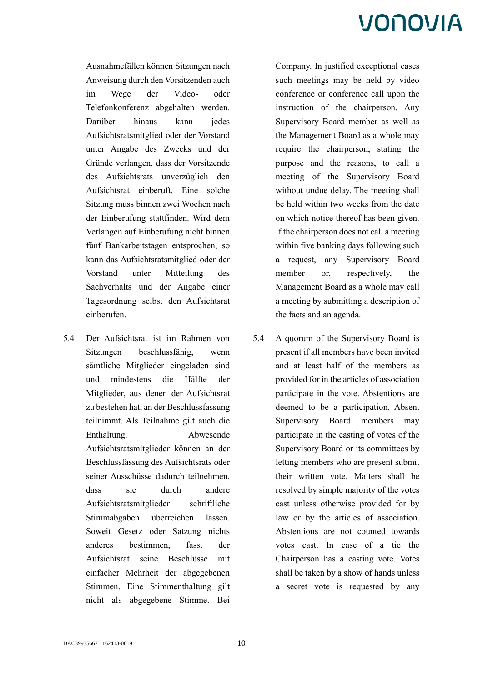Ausnahmefällen können Sitzungen nach Anweisung durch den Vorsitzenden auch im Wege der Video- oder Telefonkonferenz abgehalten werden. Darüber hinaus kann jedes Aufsichtsratsmitglied oder der Vorstand unter Angabe des Zwecks und der Gründe verlangen, dass der Vorsitzende des Aufsichtsrats unverzüglich den Aufsichtsrat einberuft. Eine solche Sitzung muss binnen zwei Wochen nach der Einberufung stattfinden. Wird dem Verlangen auf Einberufung nicht binnen fünf Bankarbeitstagen entsprochen, so kann das Aufsichtsratsmitglied oder der Vorstand unter Mitteilung des Sachverhalts und der Angabe einer Tagesordnung selbst den Aufsichtsrat einberufen.

5.4 Der Aufsichtsrat ist im Rahmen von Sitzungen beschlussfähig, wenn sämtliche Mitglieder eingeladen sind und mindestens die Hälfte der Mitglieder, aus denen der Aufsichtsrat zu bestehen hat, an der Beschlussfassung teilnimmt. Als Teilnahme gilt auch die Enthaltung. Abwesende Aufsichtsratsmitglieder können an der Beschlussfassung des Aufsichtsrats oder seiner Ausschüsse dadurch teilnehmen, dass sie durch andere Aufsichtsratsmitglieder schriftliche Stimmabgaben überreichen lassen. Soweit Gesetz oder Satzung nichts anderes bestimmen, fasst der Aufsichtsrat seine Beschlüsse mit einfacher Mehrheit der abgegebenen Stimmen. Eine Stimmenthaltung gilt nicht als abgegebene Stimme. Bei Company. In justified exceptional cases such meetings may be held by video conference or conference call upon the instruction of the chairperson. Any Supervisory Board member as well as the Management Board as a whole may require the chairperson, stating the purpose and the reasons, to call a meeting of the Supervisory Board without undue delay. The meeting shall be held within two weeks from the date on which notice thereof has been given. If the chairperson does not call a meeting within five banking days following such a request, any Supervisory Board member or, respectively, the Management Board as a whole may call a meeting by submitting a description of the facts and an agenda.

5.4 A quorum of the Supervisory Board is present if all members have been invited and at least half of the members as provided for in the articles of association participate in the vote. Abstentions are deemed to be a participation. Absent Supervisory Board members may participate in the casting of votes of the Supervisory Board or its committees by letting members who are present submit their written vote. Matters shall be resolved by simple majority of the votes cast unless otherwise provided for by law or by the articles of association. Abstentions are not counted towards votes cast. In case of a tie the Chairperson has a casting vote. Votes shall be taken by a show of hands unless a secret vote is requested by any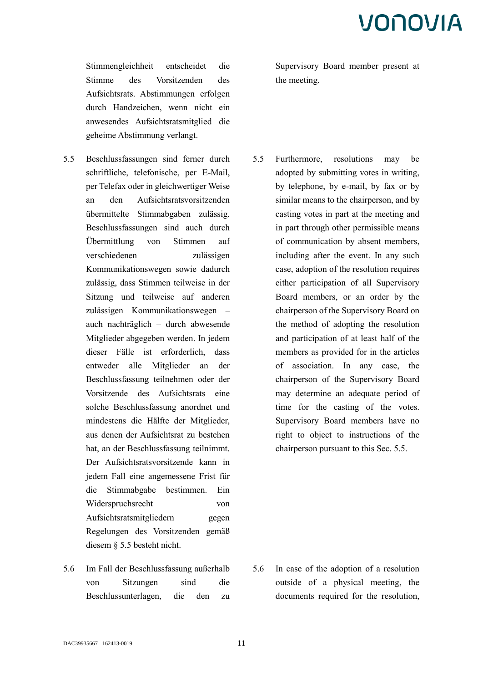Stimmengleichheit entscheidet die Stimme des Vorsitzenden des Aufsichtsrats. Abstimmungen erfolgen durch Handzeichen, wenn nicht ein anwesendes Aufsichtsratsmitglied die geheime Abstimmung verlangt.

- 5.5 Beschlussfassungen sind ferner durch schriftliche, telefonische, per E-Mail, per Telefax oder in gleichwertiger Weise an den Aufsichtsratsvorsitzenden übermittelte Stimmabgaben zulässig. Beschlussfassungen sind auch durch Übermittlung von Stimmen auf verschiedenen zulässigen Kommunikationswegen sowie dadurch zulässig, dass Stimmen teilweise in der Sitzung und teilweise auf anderen zulässigen Kommunikationswegen – auch nachträglich – durch abwesende Mitglieder abgegeben werden. In jedem dieser Fälle ist erforderlich, dass entweder alle Mitglieder an der Beschlussfassung teilnehmen oder der Vorsitzende des Aufsichtsrats eine solche Beschlussfassung anordnet und mindestens die Hälfte der Mitglieder, aus denen der Aufsichtsrat zu bestehen hat, an der Beschlussfassung teilnimmt. Der Aufsichtsratsvorsitzende kann in jedem Fall eine angemessene Frist für die Stimmabgabe bestimmen. Ein Widerspruchsrecht von Aufsichtsratsmitgliedern gegen Regelungen des Vorsitzenden gemäß diesem § 5.5 besteht nicht.
- 5.6 Im Fall der Beschlussfassung außerhalb von Sitzungen sind die Beschlussunterlagen, die den zu

Supervisory Board member present at the meeting.

5.5 Furthermore, resolutions may be adopted by submitting votes in writing, by telephone, by e-mail, by fax or by similar means to the chairperson, and by casting votes in part at the meeting and in part through other permissible means of communication by absent members, including after the event. In any such case, adoption of the resolution requires either participation of all Supervisory Board members, or an order by the chairperson of the Supervisory Board on the method of adopting the resolution and participation of at least half of the members as provided for in the articles of association. In any case, the chairperson of the Supervisory Board may determine an adequate period of time for the casting of the votes. Supervisory Board members have no right to object to instructions of the chairperson pursuant to this Sec. 5.5.

5.6 In case of the adoption of a resolution outside of a physical meeting, the documents required for the resolution,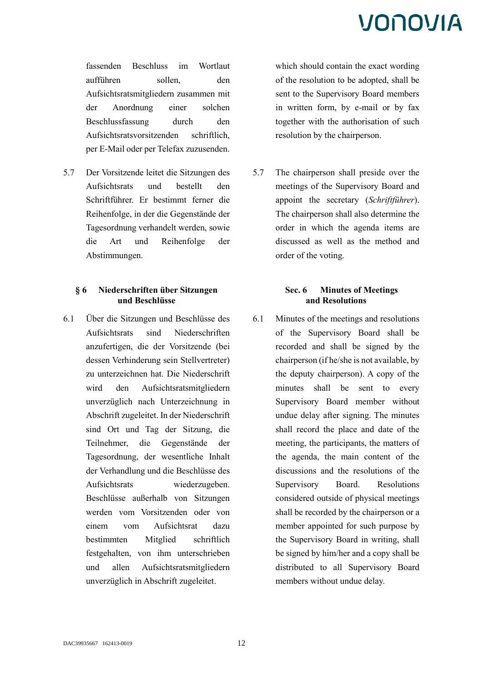fassenden Beschluss im Wortlaut aufführen sollen, den Aufsichtsratsmitgliedern zusammen mit der Anordnung einer solchen Beschlussfassung durch den Aufsichtsratsvorsitzenden schriftlich, per E-Mail oder per Telefax zuzusenden.

5.7 Der Vorsitzende leitet die Sitzungen des Aufsichtsrats und bestellt den Schriftführer. Er bestimmt ferner die Reihenfolge, in der die Gegenstände der Tagesordnung verhandelt werden, sowie die Art und Reihenfolge der Abstimmungen.

### **§ 6 Niederschriften über Sitzungen und Beschlüsse**

6.1 Über die Sitzungen und Beschlüsse des Aufsichtsrats sind Niederschriften anzufertigen, die der Vorsitzende (bei dessen Verhinderung sein Stellvertreter) zu unterzeichnen hat. Die Niederschrift wird den Aufsichtsratsmitgliedern unverzüglich nach Unterzeichnung in Abschrift zugeleitet. In der Niederschrift sind Ort und Tag der Sitzung, die Teilnehmer, die Gegenstände der Tagesordnung, der wesentliche Inhalt der Verhandlung und die Beschlüsse des Aufsichtsrats wiederzugeben. Beschlüsse außerhalb von Sitzungen werden vom Vorsitzenden oder von einem vom Aufsichtsrat dazu bestimmten Mitglied schriftlich festgehalten, von ihm unterschrieben und allen Aufsichtsratsmitgliedern unverzüglich in Abschrift zugeleitet.

which should contain the exact wording of the resolution to be adopted, shall be sent to the Supervisory Board members in written form, by e-mail or by fax together with the authorisation of such resolution by the chairperson.

5.7 The chairperson shall preside over the meetings of the Supervisory Board and appoint the secretary (*Schriftführer*). The chairperson shall also determine the order in which the agenda items are discussed as well as the method and order of the voting.

### **Sec. 6 Minutes of Meetings and Resolutions**

6.1 Minutes of the meetings and resolutions of the Supervisory Board shall be recorded and shall be signed by the chairperson (if he/she is not available, by the deputy chairperson). A copy of the minutes shall be sent to every Supervisory Board member without undue delay after signing. The minutes shall record the place and date of the meeting, the participants, the matters of the agenda, the main content of the discussions and the resolutions of the Supervisory Board. Resolutions considered outside of physical meetings shall be recorded by the chairperson or a member appointed for such purpose by the Supervisory Board in writing, shall be signed by him/her and a copy shall be distributed to all Supervisory Board members without undue delay.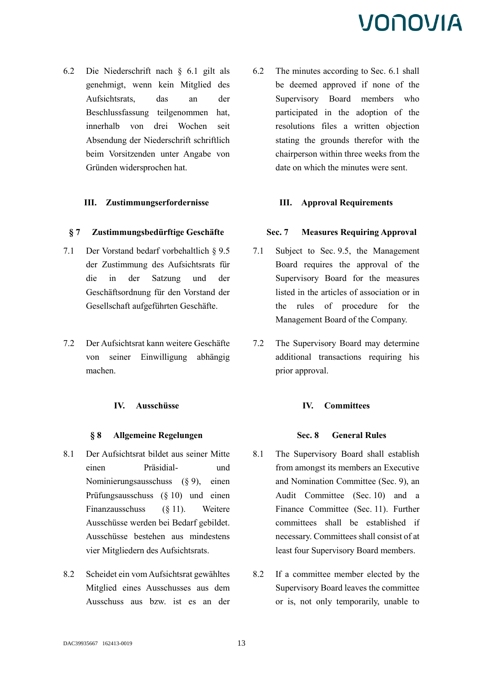6.2 Die Niederschrift nach § 6.1 gilt als genehmigt, wenn kein Mitglied des Aufsichtsrats, das an der Beschlussfassung teilgenommen hat, innerhalb von drei Wochen seit Absendung der Niederschrift schriftlich beim Vorsitzenden unter Angabe von Gründen widersprochen hat.

### **III. Zustimmungserfordernisse III. Approval Requirements**

### **§ 7 Zustimmungsbedürftige Geschäfte Sec. 7 Measures Requiring Approval**

- 7.1 Der Vorstand bedarf vorbehaltlich § 9.5 der Zustimmung des Aufsichtsrats für die in der Satzung und der Geschäftsordnung für den Vorstand der Gesellschaft aufgeführten Geschäfte.
- 7.2 Der Aufsichtsrat kann weitere Geschäfte von seiner Einwilligung abhängig machen.

#### **IV. Ausschüsse IV. Committees**

#### **§ 8 Allgemeine Regelungen Sec. 8 General Rules**

- 8.1 Der Aufsichtsrat bildet aus seiner Mitte einen Präsidial- und Nominierungsausschuss (§ 9), einen Prüfungsausschuss (§ 10) und einen Finanzausschuss (§ 11). Weitere Ausschüsse werden bei Bedarf gebildet. Ausschüsse bestehen aus mindestens vier Mitgliedern des Aufsichtsrats.
- 8.2 Scheidet ein vom Aufsichtsrat gewähltes Mitglied eines Ausschusses aus dem Ausschuss aus bzw. ist es an der

6.2 The minutes according to Sec. 6.1 shall be deemed approved if none of the Supervisory Board members who participated in the adoption of the resolutions files a written objection stating the grounds therefor with the chairperson within three weeks from the date on which the minutes were sent.

- 7.1 Subject to Sec. 9.5, the Management Board requires the approval of the Supervisory Board for the measures listed in the articles of association or in the rules of procedure for the Management Board of the Company.
- 7.2 The Supervisory Board may determine additional transactions requiring his prior approval.

- 8.1 The Supervisory Board shall establish from amongst its members an Executive and Nomination Committee (Sec. 9), an Audit Committee (Sec. 10) and a Finance Committee (Sec. 11). Further committees shall be established if necessary. Committees shall consist of at least four Supervisory Board members.
- 8.2 If a committee member elected by the Supervisory Board leaves the committee or is, not only temporarily, unable to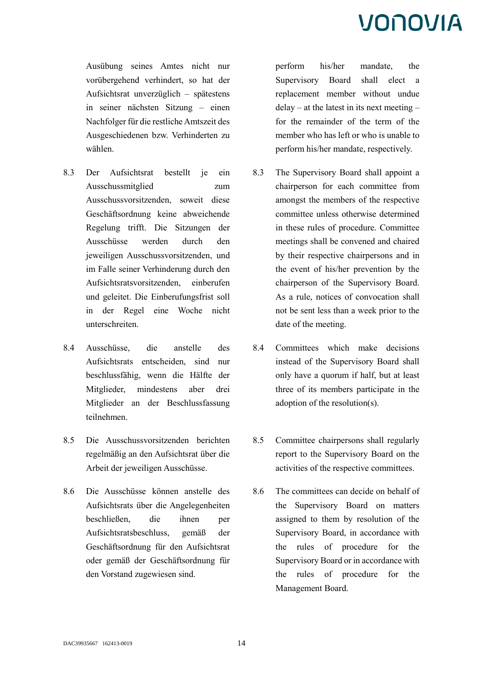Ausübung seines Amtes nicht nur vorübergehend verhindert, so hat der Aufsichtsrat unverzüglich – spätestens in seiner nächsten Sitzung – einen Nachfolger für die restliche Amtszeit des Ausgeschiedenen bzw. Verhinderten zu wählen.

- 8.3 Der Aufsichtsrat bestellt je ein Ausschussmitglied zum Ausschussvorsitzenden, soweit diese Geschäftsordnung keine abweichende Regelung trifft. Die Sitzungen der Ausschüsse werden durch den jeweiligen Ausschussvorsitzenden, und im Falle seiner Verhinderung durch den Aufsichtsratsvorsitzenden, einberufen und geleitet. Die Einberufungsfrist soll in der Regel eine Woche nicht unterschreiten.
- 8.4 Ausschüsse, die anstelle des Aufsichtsrats entscheiden, sind nur beschlussfähig, wenn die Hälfte der Mitglieder, mindestens aber drei Mitglieder an der Beschlussfassung teilnehmen.
- 8.5 Die Ausschussvorsitzenden berichten regelmäßig an den Aufsichtsrat über die Arbeit der jeweiligen Ausschüsse.
- 8.6 Die Ausschüsse können anstelle des Aufsichtsrats über die Angelegenheiten beschließen, die ihnen per Aufsichtsratsbeschluss, gemäß der Geschäftsordnung für den Aufsichtsrat oder gemäß der Geschäftsordnung für den Vorstand zugewiesen sind.

perform his/her mandate, the Supervisory Board shall elect a replacement member without undue delay – at the latest in its next meeting – for the remainder of the term of the member who has left or who is unable to perform his/her mandate, respectively.

- 8.3 The Supervisory Board shall appoint a chairperson for each committee from amongst the members of the respective committee unless otherwise determined in these rules of procedure. Committee meetings shall be convened and chaired by their respective chairpersons and in the event of his/her prevention by the chairperson of the Supervisory Board. As a rule, notices of convocation shall not be sent less than a week prior to the date of the meeting.
- 8.4 Committees which make decisions instead of the Supervisory Board shall only have a quorum if half, but at least three of its members participate in the adoption of the resolution(s).
- 8.5 Committee chairpersons shall regularly report to the Supervisory Board on the activities of the respective committees.
- 8.6 The committees can decide on behalf of the Supervisory Board on matters assigned to them by resolution of the Supervisory Board, in accordance with the rules of procedure for the Supervisory Board or in accordance with the rules of procedure for the Management Board.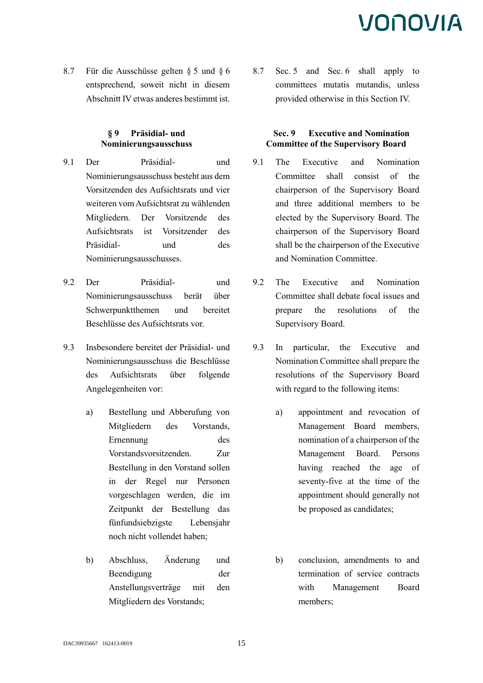8.7 Für die Ausschüsse gelten § 5 und § 6 entsprechend, soweit nicht in diesem Abschnitt IV etwas anderes bestimmt ist.

### **§ 9 Präsidial- und Nominierungsausschuss**

- 9.1 Der Präsidial- und Nominierungsausschuss besteht aus dem Vorsitzenden des Aufsichtsrats und vier weiteren vom Aufsichtsrat zu wählenden Mitgliedern. Der Vorsitzende des Aufsichtsrats ist Vorsitzender des Präsidial- und des Nominierungsausschusses.
- 9.2 Der Präsidial- und Nominierungsausschuss berät über Schwerpunktthemen und bereitet Beschlüsse des Aufsichtsrats vor.
- 9.3 Insbesondere bereitet der Präsidial- und Nominierungsausschuss die Beschlüsse des Aufsichtsrats über folgende Angelegenheiten vor:
	- a) Bestellung und Abberufung von Mitgliedern des Vorstands, Ernennung des Vorstandsvorsitzenden. Zur Bestellung in den Vorstand sollen in der Regel nur Personen vorgeschlagen werden, die im Zeitpunkt der Bestellung das fünfundsiebzigste Lebensjahr noch nicht vollendet haben;
	- b) Abschluss, Änderung und Beendigung der Anstellungsverträge mit den Mitgliedern des Vorstands;

8.7 Sec. 5 and Sec. 6 shall apply to committees mutatis mutandis, unless provided otherwise in this Section IV.

### **Sec. 9 Executive and Nomination Committee of the Supervisory Board**

- 9.1 The Executive and Nomination Committee shall consist of the chairperson of the Supervisory Board and three additional members to be elected by the Supervisory Board. The chairperson of the Supervisory Board shall be the chairperson of the Executive and Nomination Committee.
- 9.2 The Executive and Nomination Committee shall debate focal issues and prepare the resolutions of the Supervisory Board.
- 9.3 In particular, the Executive and Nomination Committee shall prepare the resolutions of the Supervisory Board with regard to the following items:
	- a) appointment and revocation of Management Board members, nomination of a chairperson of the Management Board. Persons having reached the age of seventy-five at the time of the appointment should generally not be proposed as candidates;
	- b) conclusion, amendments to and termination of service contracts with Management Board members;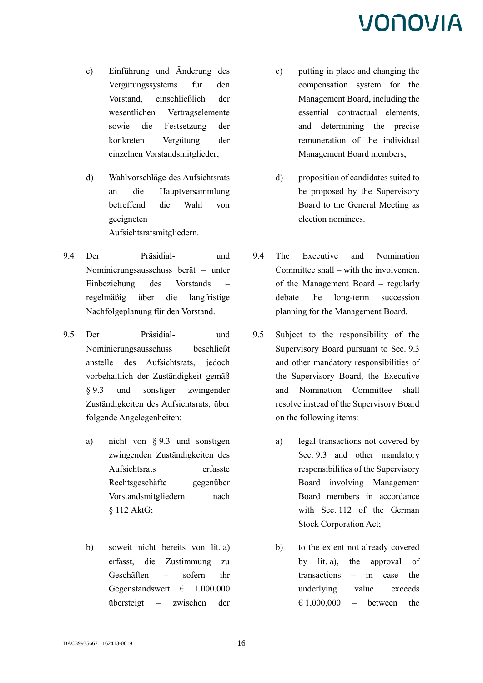- c) Einführung und Änderung des Vergütungssystems für den Vorstand, einschließlich der wesentlichen Vertragselemente sowie die Festsetzung der konkreten Vergütung der einzelnen Vorstandsmitglieder;
- d) Wahlvorschläge des Aufsichtsrats an die Hauptversammlung betreffend die Wahl von geeigneten Aufsichtsratsmitgliedern.
- 9.4 Der Präsidial- und Nominierungsausschuss berät – unter Einbeziehung des Vorstands – regelmäßig über die langfristige Nachfolgeplanung für den Vorstand.
- 9.5 Der Präsidial- und Nominierungsausschuss beschließt anstelle des Aufsichtsrats, jedoch vorbehaltlich der Zuständigkeit gemäß § 9.3 und sonstiger zwingender Zuständigkeiten des Aufsichtsrats, über folgende Angelegenheiten:
	- a) nicht von § 9.3 und sonstigen zwingenden Zuständigkeiten des Aufsichtsrats erfasste Rechtsgeschäfte gegenüber Vorstandsmitgliedern nach § 112 AktG;
	- b) soweit nicht bereits von lit. a) erfasst, die Zustimmung zu Geschäften – sofern ihr Gegenstandswert  $\epsilon$  1.000.000 übersteigt – zwischen der
- c) putting in place and changing the compensation system for the Management Board, including the essential contractual elements, and determining the precise remuneration of the individual Management Board members;
- d) proposition of candidates suited to be proposed by the Supervisory Board to the General Meeting as election nominees.
- 9.4 The Executive and Nomination Committee shall – with the involvement of the Management Board – regularly debate the long-term succession planning for the Management Board.
- 9.5 Subject to the responsibility of the Supervisory Board pursuant to Sec. 9.3 and other mandatory responsibilities of the Supervisory Board, the Executive and Nomination Committee shall resolve instead of the Supervisory Board on the following items:
	- a) legal transactions not covered by Sec. 9.3 and other mandatory responsibilities of the Supervisory Board involving Management Board members in accordance with Sec. 112 of the German Stock Corporation Act;
	- b) to the extent not already covered by lit. a), the approval of transactions – in case the underlying value exceeds  $\epsilon$  1,000,000 – between the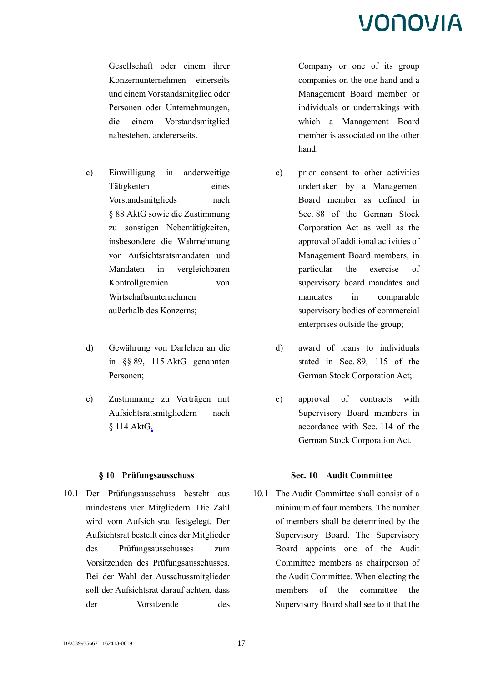Gesellschaft oder einem ihrer Konzernunternehmen einerseits und einem Vorstandsmitglied oder Personen oder Unternehmungen, die einem Vorstandsmitglied nahestehen, andererseits.

- c) Einwilligung in anderweitige Tätigkeiten eines Vorstandsmitglieds nach § 88 AktG sowie die Zustimmung zu sonstigen Nebentätigkeiten, insbesondere die Wahrnehmung von Aufsichtsratsmandaten und Mandaten in vergleichbaren Kontrollgremien von Wirtschaftsunternehmen außerhalb des Konzerns;
- d) Gewährung von Darlehen an die in §§ 89, 115 AktG genannten Personen;
- e) Zustimmung zu Verträgen mit Aufsichtsratsmitgliedern nach § 114 AktG.

10.1 Der Prüfungsausschuss besteht aus mindestens vier Mitgliedern. Die Zahl wird vom Aufsichtsrat festgelegt. Der Aufsichtsrat bestellt eines der Mitglieder des Prüfungsausschusses zum Vorsitzenden des Prüfungsausschusses. Bei der Wahl der Ausschussmitglieder soll der Aufsichtsrat darauf achten, dass der Vorsitzende des Company or one of its group companies on the one hand and a Management Board member or individuals or undertakings with which a Management Board member is associated on the other hand.

- c) prior consent to other activities undertaken by a Management Board member as defined in Sec. 88 of the German Stock Corporation Act as well as the approval of additional activities of Management Board members, in particular the exercise of supervisory board mandates and mandates in comparable supervisory bodies of commercial enterprises outside the group;
- d) award of loans to individuals stated in Sec. 89, 115 of the German Stock Corporation Act;
- e) approval of contracts with Supervisory Board members in accordance with Sec. 114 of the German Stock Corporation Act.

### **§ 10 Prüfungsausschuss Sec. 10 Audit Committee**

10.1 The Audit Committee shall consist of a minimum of four members. The number of members shall be determined by the Supervisory Board. The Supervisory Board appoints one of the Audit Committee members as chairperson of the Audit Committee. When electing the members of the committee the Supervisory Board shall see to it that the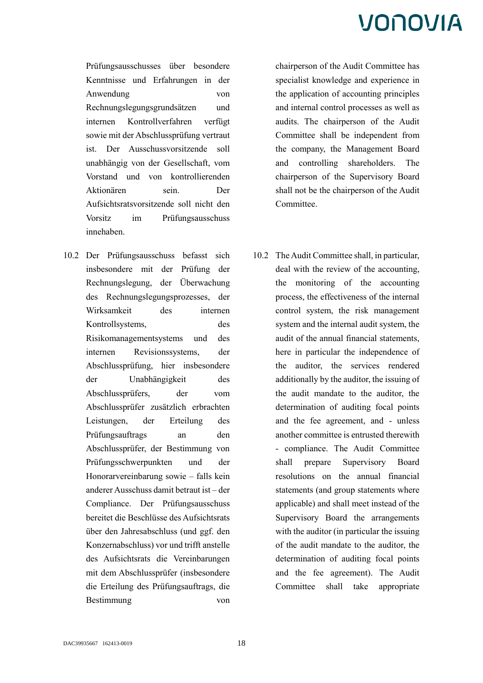Prüfungsausschusses über besondere Kenntnisse und Erfahrungen in der Anwendung von Rechnungslegungsgrundsätzen und internen Kontrollverfahren verfügt sowie mit der Abschlussprüfung vertraut ist. Der Ausschussvorsitzende soll unabhängig von der Gesellschaft, vom Vorstand und von kontrollierenden Aktionären sein. Der Aufsichtsratsvorsitzende soll nicht den Vorsitz im Prüfungsausschuss innehaben.

10.2 Der Prüfungsausschuss befasst sich insbesondere mit der Prüfung der Rechnungslegung, der Überwachung des Rechnungslegungsprozesses, der Wirksamkeit des internen Kontrollsystems, des Risikomanagementsystems und des internen Revisionssystems, der Abschlussprüfung, hier insbesondere der Unabhängigkeit des Abschlussprüfers, der vom Abschlussprüfer zusätzlich erbrachten Leistungen, der Erteilung des Prüfungsauftrags an den Abschlussprüfer, der Bestimmung von Prüfungsschwerpunkten und der Honorarvereinbarung sowie – falls kein anderer Ausschuss damit betraut ist – der Compliance. Der Prüfungsausschuss bereitet die Beschlüsse des Aufsichtsrats über den Jahresabschluss (und ggf. den Konzernabschluss) vor und trifft anstelle des Aufsichtsrats die Vereinbarungen mit dem Abschlussprüfer (insbesondere die Erteilung des Prüfungsauftrags, die Bestimmung von

chairperson of the Audit Committee has specialist knowledge and experience in the application of accounting principles and internal control processes as well as audits. The chairperson of the Audit Committee shall be independent from the company, the Management Board and controlling shareholders. The chairperson of the Supervisory Board shall not be the chairperson of the Audit Committee.

10.2 The Audit Committee shall, in particular, deal with the review of the accounting, the monitoring of the accounting process, the effectiveness of the internal control system, the risk management system and the internal audit system, the audit of the annual financial statements, here in particular the independence of the auditor, the services rendered additionally by the auditor, the issuing of the audit mandate to the auditor, the determination of auditing focal points and the fee agreement, and - unless another committee is entrusted therewith - compliance. The Audit Committee shall prepare Supervisory Board resolutions on the annual financial statements (and group statements where applicable) and shall meet instead of the Supervisory Board the arrangements with the auditor (in particular the issuing of the audit mandate to the auditor, the determination of auditing focal points and the fee agreement). The Audit Committee shall take appropriate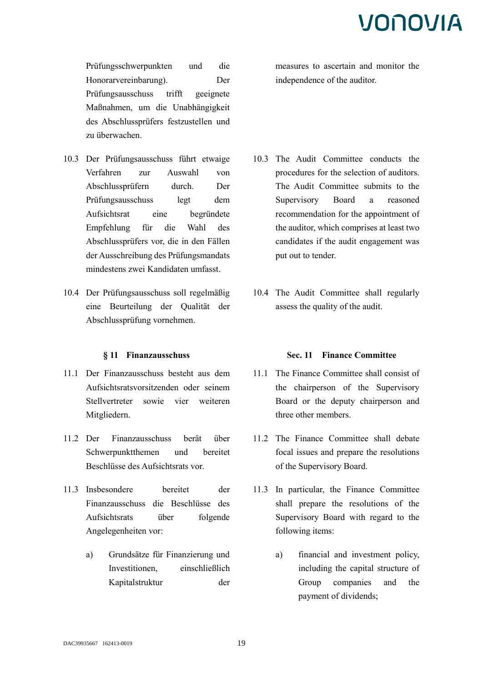Prüfungsschwerpunkten und die Honorarvereinbarung). Der Prüfungsausschuss trifft geeignete Maßnahmen, um die Unabhängigkeit des Abschlussprüfers festzustellen und zu überwachen.

- 10.3 Der Prüfungsausschuss führt etwaige Verfahren zur Auswahl von Abschlussprüfern durch. Der Prüfungsausschuss legt dem Aufsichtsrat eine begründete Empfehlung für die Wahl des Abschlussprüfers vor, die in den Fällen der Ausschreibung des Prüfungsmandats mindestens zwei Kandidaten umfasst.
- 10.4 Der Prüfungsausschuss soll regelmäßig eine Beurteilung der Qualität der Abschlussprüfung vornehmen.

- 11.1 Der Finanzausschuss besteht aus dem Aufsichtsratsvorsitzenden oder seinem Stellvertreter sowie vier weiteren Mitgliedern.
- 11.2 Der Finanzausschuss berät über Schwerpunktthemen und bereitet Beschlüsse des Aufsichtsrats vor.
- 11.3 Insbesondere bereitet der Finanzausschuss die Beschlüsse des Aufsichtsrats über folgende Angelegenheiten vor:
	- a) Grundsätze für Finanzierung und Investitionen, einschließlich Kapitalstruktur der

measures to ascertain and monitor the independence of the auditor.

- 10.3 The Audit Committee conducts the procedures for the selection of auditors. The Audit Committee submits to the Supervisory Board a reasoned recommendation for the appointment of the auditor, which comprises at least two candidates if the audit engagement was put out to tender.
- 10.4 The Audit Committee shall regularly assess the quality of the audit.

#### **§ 11 Finanzausschuss Sec. 11 Finance Committee**

- 11.1 The Finance Committee shall consist of the chairperson of the Supervisory Board or the deputy chairperson and three other members.
- 11.2 The Finance Committee shall debate focal issues and prepare the resolutions of the Supervisory Board.
- 11.3 In particular, the Finance Committee shall prepare the resolutions of the Supervisory Board with regard to the following items:
	- a) financial and investment policy, including the capital structure of Group companies and the payment of dividends;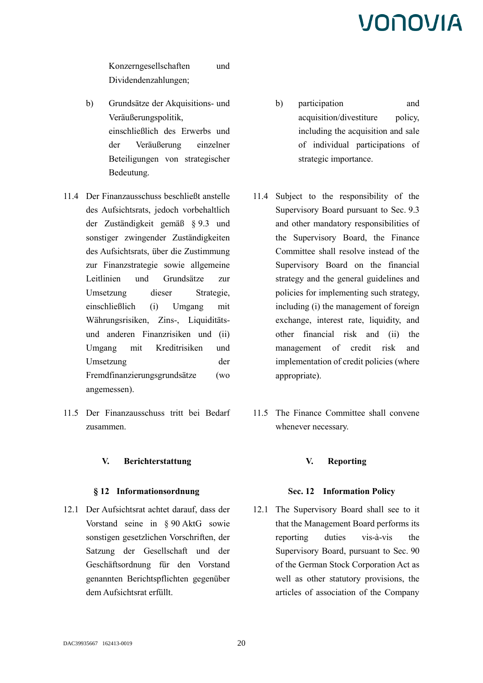Konzerngesellschaften und Dividendenzahlungen;

- b) Grundsätze der Akquisitions- und Veräußerungspolitik, einschließlich des Erwerbs und der Veräußerung einzelner Beteiligungen von strategischer Bedeutung.
- 11.4 Der Finanzausschuss beschließt anstelle des Aufsichtsrats, jedoch vorbehaltlich der Zuständigkeit gemäß § 9.3 und sonstiger zwingender Zuständigkeiten des Aufsichtsrats, über die Zustimmung zur Finanzstrategie sowie allgemeine Leitlinien und Grundsätze zur Umsetzung dieser Strategie, einschließlich (i) Umgang mit Währungsrisiken, Zins-, Liquiditätsund anderen Finanzrisiken und (ii) Umgang mit Kreditrisiken und Umsetzung der Fremdfinanzierungsgrundsätze (wo angemessen).
- 11.5 Der Finanzausschuss tritt bei Bedarf zusammen.

### **V. Berichterstattung V. Reporting**

12.1 Der Aufsichtsrat achtet darauf, dass der Vorstand seine in § 90 AktG sowie sonstigen gesetzlichen Vorschriften, der Satzung der Gesellschaft und der Geschäftsordnung für den Vorstand genannten Berichtspflichten gegenüber dem Aufsichtsrat erfüllt.

- b) participation and acquisition/divestiture policy, including the acquisition and sale of individual participations of strategic importance.
- 11.4 Subject to the responsibility of the Supervisory Board pursuant to Sec. 9.3 and other mandatory responsibilities of the Supervisory Board, the Finance Committee shall resolve instead of the Supervisory Board on the financial strategy and the general guidelines and policies for implementing such strategy, including (i) the management of foreign exchange, interest rate, liquidity, and other financial risk and (ii) the management of credit risk and implementation of credit policies (where appropriate).
- 11.5 The Finance Committee shall convene whenever necessary.

#### **§ 12 Informationsordnung Sec. 12 Information Policy**

12.1 The Supervisory Board shall see to it that the Management Board performs its reporting duties vis-à-vis the Supervisory Board, pursuant to Sec. 90 of the German Stock Corporation Act as well as other statutory provisions, the articles of association of the Company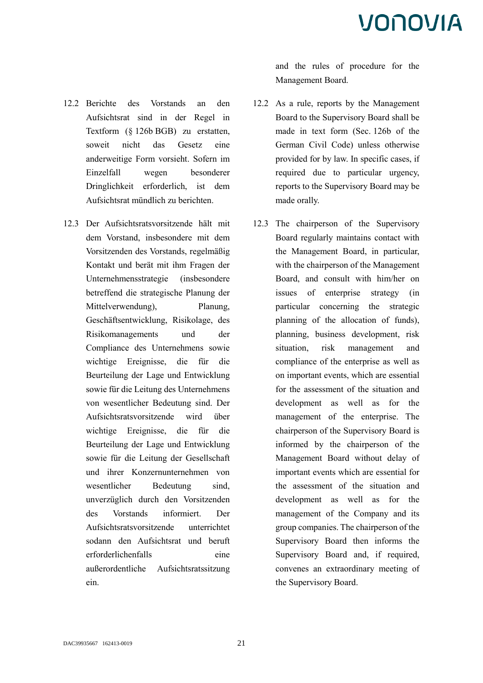- 12.2 Berichte des Vorstands an den Aufsichtsrat sind in der Regel in Textform (§ 126b BGB) zu erstatten, soweit nicht das Gesetz eine anderweitige Form vorsieht. Sofern im Einzelfall wegen besonderer Dringlichkeit erforderlich, ist dem Aufsichtsrat mündlich zu berichten.
- 12.3 Der Aufsichtsratsvorsitzende hält mit dem Vorstand, insbesondere mit dem Vorsitzenden des Vorstands, regelmäßig Kontakt und berät mit ihm Fragen der Unternehmensstrategie (insbesondere betreffend die strategische Planung der Mittelverwendung), Planung, Geschäftsentwicklung, Risikolage, des Risikomanagements und der Compliance des Unternehmens sowie wichtige Ereignisse, die für die Beurteilung der Lage und Entwicklung sowie für die Leitung des Unternehmens von wesentlicher Bedeutung sind. Der Aufsichtsratsvorsitzende wird über wichtige Ereignisse, die für die Beurteilung der Lage und Entwicklung sowie für die Leitung der Gesellschaft und ihrer Konzernunternehmen von wesentlicher Bedeutung sind, unverzüglich durch den Vorsitzenden des Vorstands informiert. Der Aufsichtsratsvorsitzende unterrichtet sodann den Aufsichtsrat und beruft erforderlichenfalls eine außerordentliche Aufsichtsratssitzung ein.

and the rules of procedure for the Management Board.

- 12.2 As a rule, reports by the Management Board to the Supervisory Board shall be made in text form (Sec. 126b of the German Civil Code) unless otherwise provided for by law. In specific cases, if required due to particular urgency, reports to the Supervisory Board may be made orally.
- 12.3 The chairperson of the Supervisory Board regularly maintains contact with the Management Board, in particular, with the chairperson of the Management Board, and consult with him/her on issues of enterprise strategy (in particular concerning the strategic planning of the allocation of funds), planning, business development, risk situation, risk management and compliance of the enterprise as well as on important events, which are essential for the assessment of the situation and development as well as for the management of the enterprise. The chairperson of the Supervisory Board is informed by the chairperson of the Management Board without delay of important events which are essential for the assessment of the situation and development as well as for the management of the Company and its group companies. The chairperson of the Supervisory Board then informs the Supervisory Board and, if required, convenes an extraordinary meeting of the Supervisory Board.